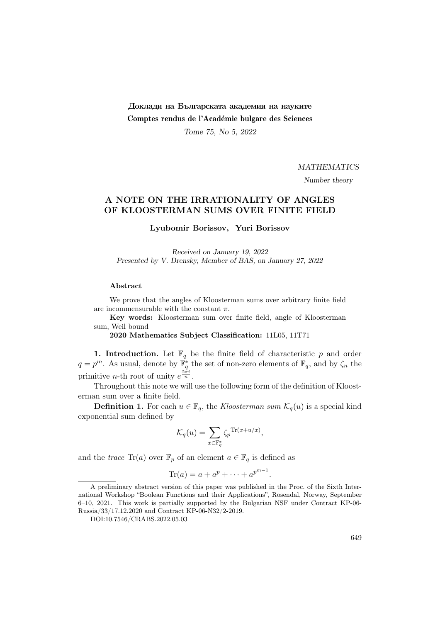## Доклади на Българската академия на науките Comptes rendus de l'Académie bulgare des Sciences

Tome 75, No 5, 2022

**MATHEMATICS** 

Number theory

## A NOTE ON THE IRRATIONALITY OF ANGLES OF KLOOSTERMAN SUMS OVER FINITE FIELD

Lyubomir Borissov, Yuri Borissov

Received on January 19, 2022 Presented by V. Drensky, Member of BAS, on January 27, 2022

## Abstract

We prove that the angles of Kloosterman sums over arbitrary finite field are incommensurable with the constant  $\pi$ .

Key words: Kloosterman sum over finite field, angle of Kloosterman sum, Weil bound

2020 Mathematics Subject Classification: 11L05, 11T71

**1. Introduction.** Let  $\mathbb{F}_q$  be the finite field of characteristic p and order  $q = p^m$ . As usual, denote by  $\mathbb{F}_q^*$  the set of non-zero elements of  $\mathbb{F}_q$ , and by  $\zeta_n$  the primitive *n*-th root of unity  $e^{\frac{2\pi i}{n}}$ .

Throughout this note we will use the following form of the definition of Kloosterman sum over a finite field.

**Definition 1.** For each  $u \in \mathbb{F}_q$ , the *Kloosterman sum*  $\mathcal{K}_q(u)$  is a special kind exponential sum defined by

$$
\mathcal{K}_q(u) = \sum_{x \in \mathbb{F}_q^*} \zeta_p^{\text{Tr}(x + u/x)},
$$

and the trace  $\text{Tr}(a)$  over  $\mathbb{F}_p$  of an element  $a \in \mathbb{F}_q$  is defined as

$$
\mathrm{Tr}(a) = a + a^p + \cdots + a^{p^{m-1}}.
$$

A preliminary abstract version of this paper was published in the Proc. of the Sixth International Workshop "Boolean Functions and their Applications", Rosendal, Norway, September 6–10, 2021. This work is partially supported by the Bulgarian NSF under Contract KP-06- Russia/33/17.12.2020 and Contract KP-06-N32/2-2019.

DOI:10.7546/CRABS.2022.05.03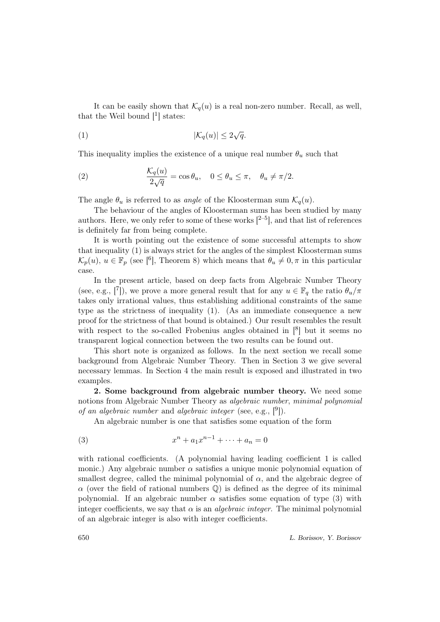It can be easily shown that  $\mathcal{K}_q(u)$  is a real non-zero number. Recall, as well, that the Weil bound  $\begin{bmatrix}1\end{bmatrix}$  states:

$$
|\mathcal{K}_q(u)| \le 2\sqrt{q}.
$$

This inequality implies the existence of a unique real number  $\theta_u$  such that

(2) 
$$
\frac{\mathcal{K}_q(u)}{2\sqrt{q}} = \cos\theta_u, \quad 0 \le \theta_u \le \pi, \quad \theta_u \ne \pi/2.
$$

The angle  $\theta_u$  is referred to as *angle* of the Kloosterman sum  $\mathcal{K}_q(u)$ .

The behaviour of the angles of Kloosterman sums has been studied by many authors. Here, we only refer to some of these works  $[2-5]$ , and that list of references is definitely far from being complete.

It is worth pointing out the existence of some successful attempts to show that inequality (1) is always strict for the angles of the simplest Kloosterman sums  $\mathcal{K}_p(u), u \in \mathbb{F}_p$  (see [<sup>6</sup>], Theorem 8) which means that  $\theta_u \neq 0, \pi$  in this particular case.

In the present article, based on deep facts from Algebraic Number Theory (see, e.g., [7]), we prove a more general result that for any  $u \in \mathbb{F}_q$  the ratio  $\theta_u/\pi$ takes only irrational values, thus establishing additional constraints of the same type as the strictness of inequality (1). (As an immediate consequence a new proof for the strictness of that bound is obtained.) Our result resembles the result with respect to the so-called Frobenius angles obtained in  $\binom{8}{1}$  but it seems no transparent logical connection between the two results can be found out.

This short note is organized as follows. In the next section we recall some background from Algebraic Number Theory. Then in Section 3 we give several necessary lemmas. In Section 4 the main result is exposed and illustrated in two examples.

2. Some background from algebraic number theory. We need some notions from Algebraic Number Theory as algebraic number, minimal polynomial of an algebraic number and algebraic integer (see, e.g.,  $[9]$ ).

An algebraic number is one that satisfies some equation of the form

(3) 
$$
x^{n} + a_{1}x^{n-1} + \cdots + a_{n} = 0
$$

with rational coefficients. (A polynomial having leading coefficient 1 is called monic.) Any algebraic number  $\alpha$  satisfies a unique monic polynomial equation of smallest degree, called the minimal polynomial of  $\alpha$ , and the algebraic degree of  $\alpha$  (over the field of rational numbers  $\mathbb{Q}$ ) is defined as the degree of its minimal polynomial. If an algebraic number  $\alpha$  satisfies some equation of type (3) with integer coefficients, we say that  $\alpha$  is an *algebraic integer*. The minimal polynomial of an algebraic integer is also with integer coefficients.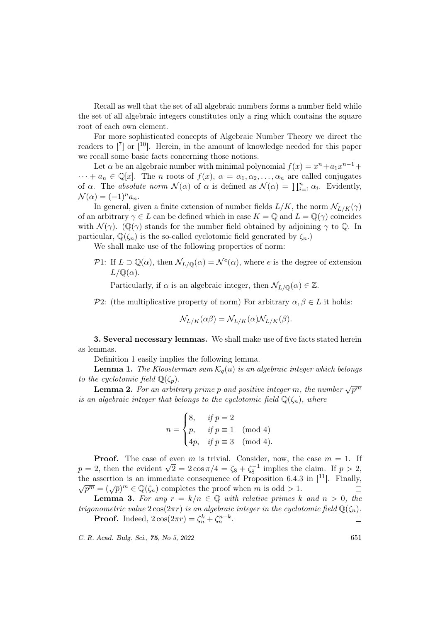Recall as well that the set of all algebraic numbers forms a number field while the set of all algebraic integers constitutes only a ring which contains the square root of each own element.

For more sophisticated concepts of Algebraic Number Theory we direct the readers to  $\begin{bmatrix} 7 \end{bmatrix}$  or  $\begin{bmatrix} 10 \end{bmatrix}$ . Herein, in the amount of knowledge needed for this paper we recall some basic facts concerning those notions.

Let  $\alpha$  be an algebraic number with minimal polynomial  $f(x) = x^n + a_1x^{n-1} +$  $\cdots + a_n \in \mathbb{Q}[x]$ . The *n* roots of  $f(x), \alpha = \alpha_1, \alpha_2, \ldots, \alpha_n$  are called conjugates of  $\alpha$ . The absolute norm  $\mathcal{N}(\alpha)$  of  $\alpha$  is defined as  $\mathcal{N}(\alpha) = \prod_{i=1}^{n} \alpha_i$ . Evidently,  $\mathcal{N}(\alpha) = (-1)^n a_n.$ 

In general, given a finite extension of number fields  $L/K$ , the norm  $\mathcal{N}_{L/K}(\gamma)$ of an arbitrary  $\gamma \in L$  can be defined which in case  $K = \mathbb{Q}$  and  $L = \mathbb{Q}(\gamma)$  coincides with  $\mathcal{N}(\gamma)$ . (Q( $\gamma$ ) stands for the number field obtained by adjoining  $\gamma$  to Q. In particular,  $\mathbb{Q}(\zeta_n)$  is the so-called cyclotomic field generated by  $\zeta_n$ .

We shall make use of the following properties of norm:

P1: If  $L \supset \mathbb{Q}(\alpha)$ , then  $\mathcal{N}_{L/\mathbb{Q}}(\alpha) = \mathcal{N}^e(\alpha)$ , where e is the degree of extension  $L/\mathbb{Q}(\alpha)$ .

Particularly, if  $\alpha$  is an algebraic integer, then  $\mathcal{N}_{L/\mathbb{Q}}(\alpha) \in \mathbb{Z}$ .

P2: (the multiplicative property of norm) For arbitrary  $\alpha, \beta \in L$  it holds:

$$
\mathcal{N}_{L/K}(\alpha \beta) = \mathcal{N}_{L/K}(\alpha) \mathcal{N}_{L/K}(\beta).
$$

3. Several necessary lemmas. We shall make use of five facts stated herein as lemmas.

Definition 1 easily implies the following lemma.

**Lemma 1.** The Kloosterman sum  $\mathcal{K}_q(u)$  is an algebraic integer which belongs to the cyclotomic field  $\mathbb{Q}(\zeta_p)$ .

Lemma 2. For an arbitrary prime p and positive integer m, the number  $\sqrt{p^m}$ is an algebraic integer that belongs to the cyclotomic field  $\mathbb{Q}(\zeta_n)$ , where

$$
n = \begin{cases} 8, & if p = 2 \\ p, & if p \equiv 1 \pmod{4} \\ 4p, & if p \equiv 3 \pmod{4} \end{cases}
$$

**Proof.** The case of even m is trivial. Consider, now, the case  $m = 1$ . If **Proof.** The case of even *m* is trivial. Consider, now, the case  $m = 1$ . If  $p = 2$ , then the evident  $\sqrt{2} = 2 \cos \pi/4 = \zeta_8 + \zeta_8^{-1}$  implies the claim. If  $p > 2$ , the assertion is an immediate consequence of Proposition 6.4.3 in [<sup>11</sup>]. Finally,  $\overline{p^m} = (\sqrt{p})^m \in \mathbb{Q}(\zeta_n)$  completes the proof when m is odd > 1.  $\Box$ 

**Lemma 3.** For any  $r = k/n \in \mathbb{Q}$  with relative primes k and  $n > 0$ , the trigonometric value  $2\cos(2\pi r)$  is an algebraic integer in the cyclotomic field  $\mathbb{Q}(\zeta_n)$ .

**Proof.** Indeed,  $2\cos(2\pi r) = \zeta_n^k + \zeta_n^{n-k}$ .  $\Box$ 

C. R. Acad. Bulg. Sci., **75**, No 5, 2022 651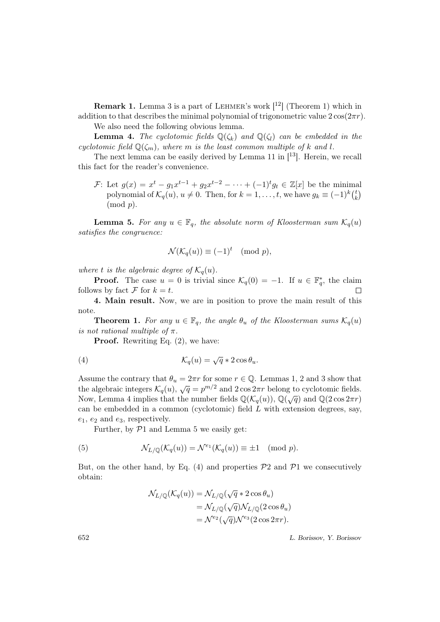**Remark 1.** Lemma 3 is a part of LEHMER's work  $[12]$  (Theorem 1) which in addition to that describes the minimal polynomial of trigonometric value  $2 \cos(2\pi r)$ . We also need the following obvious lemma.

**Lemma 4.** The cyclotomic fields  $\mathbb{Q}(\zeta_k)$  and  $\mathbb{Q}(\zeta_l)$  can be embedded in the cyclotomic field  $\mathbb{Q}(\zeta_m)$ , where m is the least common multiple of k and l.

The next lemma can be easily derived by Lemma 11 in  $[13]$ . Herein, we recall this fact for the reader's convenience.

F: Let  $g(x) = x^t - g_1 x^{t-1} + g_2 x^{t-2} - \cdots + (-1)^t g_t \in \mathbb{Z}[x]$  be the minimal polynomial of  $\mathcal{K}_q(u)$ ,  $u \neq 0$ . Then, for  $k = 1, \ldots, t$ , we have  $g_k \equiv (-1)^k {t \choose k}$  $\binom{t}{k}$  $\pmod{p}$ .

**Lemma 5.** For any  $u \in \mathbb{F}_q$ , the absolute norm of Kloosterman sum  $\mathcal{K}_q(u)$ satisfies the congruence:

$$
\mathcal{N}(\mathcal{K}_q(u)) \equiv (-1)^t \pmod{p},
$$

where t is the algebraic degree of  $\mathcal{K}_q(u)$ .

**Proof.** The case  $u = 0$  is trivial since  $\mathcal{K}_q(0) = -1$ . If  $u \in \mathbb{F}_q^*$ , the claim follows by fact  $\mathcal F$  for  $k = t$ .

4. Main result. Now, we are in position to prove the main result of this note.

**Theorem 1.** For any  $u \in \mathbb{F}_q$ , the angle  $\theta_u$  of the Kloosterman sums  $\mathcal{K}_q(u)$ is not rational multiple of  $\pi$ .

**Proof.** Rewriting Eq. (2), we have:

(4) 
$$
\mathcal{K}_q(u) = \sqrt{q} * 2 \cos \theta_u.
$$

Assume the contrary that  $\theta_u = 2\pi r$  for some  $r \in \mathbb{Q}$ . Lemmas 1, 2 and 3 show that the algebraic integers  $K_q(u)$ ,  $\sqrt{q} = p^{m/2}$  and  $2 \cos 2\pi r$  belong to cyclotomic fields. Now, Lemma 4 implies that the number fields  $\mathbb{Q}(\mathcal{K}_q(u))$ ,  $\mathbb{Q}(\sqrt{q})$  and  $\mathbb{Q}(2 \cos 2\pi r)$ can be embedded in a common (cyclotomic) field  $L$  with extension degrees, say,  $e_1, e_2$  and  $e_3$ , respectively.

Further, by  $\mathcal{P}1$  and Lemma 5 we easily get:

(5) 
$$
\mathcal{N}_{L/\mathbb{Q}}(\mathcal{K}_q(u)) = \mathcal{N}^{e_1}(\mathcal{K}_q(u)) \equiv \pm 1 \pmod{p}.
$$

But, on the other hand, by Eq. (4) and properties  $\mathcal{P}2$  and  $\mathcal{P}1$  we consecutively obtain:

$$
\mathcal{N}_{L/\mathbb{Q}}(\mathcal{K}_q(u)) = \mathcal{N}_{L/\mathbb{Q}}(\sqrt{q} * 2 \cos \theta_u)
$$
  
=  $\mathcal{N}_{L/\mathbb{Q}}(\sqrt{q}) \mathcal{N}_{L/\mathbb{Q}}(2 \cos \theta_u)$   
=  $\mathcal{N}^{e_2}(\sqrt{q}) \mathcal{N}^{e_3}(2 \cos 2\pi r).$ 

652 L. Borissov, Y. Borissov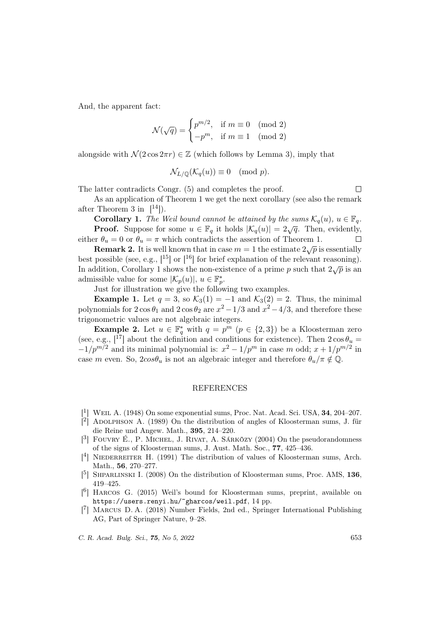And, the apparent fact:

$$
\mathcal{N}(\sqrt{q}) = \begin{cases} p^{m/2}, & \text{if } m \equiv 0 \pmod{2} \\ -p^m, & \text{if } m \equiv 1 \pmod{2} \end{cases}
$$

alongside with  $\mathcal{N}(2\cos 2\pi r) \in \mathbb{Z}$  (which follows by Lemma 3), imply that

$$
\mathcal{N}_{L/\mathbb{Q}}(\mathcal{K}_q(u)) \equiv 0 \pmod{p}.
$$

The latter contradicts Congr. (5) and completes the proof.

 $\Box$ 

As an application of Theorem 1 we get the next corollary (see also the remark after Theorem 3 in  $[14]$ ).

**Corollary 1.** The Weil bound cannot be attained by the sums  $\mathcal{K}_q(u)$ ,  $u \in \mathbb{F}_q$ . **Proof.** Suppose for some  $u \in \mathbb{F}_q$  it holds  $|\mathcal{K}_q(u)| = 2\sqrt{q}$ . Then, evidently, either  $\theta_u = 0$  or  $\theta_u = \pi$  which contradicts the assertion of Theorem 1.

Remark 2. It is well known that in case  $m = 1$  the estimate  $2\sqrt{p}$  is essentially best possible (see, e.g.,  $\lceil^{15}\rceil$  or  $\lceil^{16}\rceil$  for brief explanation of the relevant reasoning). In addition, Corollary 1 shows the non-existence of a prime p such that  $2\sqrt{p}$  is an admissible value for some  $|\mathcal{K}_p(u)|, u \in \mathbb{F}_p^*$ .

Just for illustration we give the following two examples.

**Example 1.** Let  $q = 3$ , so  $\mathcal{K}_3(1) = -1$  and  $\mathcal{K}_3(2) = 2$ . Thus, the minimal polynomials for  $2\cos\theta_1$  and  $2\cos\theta_2$  are  $x^2 - 1/3$  and  $x^2 - 4/3$ , and therefore these trigonometric values are not algebraic integers.

**Example 2.** Let  $u \in \mathbb{F}_q^*$  with  $q = p^m$   $(p \in \{2,3\})$  be a Kloosterman zero (see, e.g.,  $\begin{bmatrix}17\\1\end{bmatrix}$  about the definition and conditions for existence). Then  $2\cos\theta_u =$  $-1/p^{m/2}$  and its minimal polynomial is:  $x^2 - 1/p^m$  in case m odd;  $x + 1/p^{m/2}$  in case m even. So,  $2cos\theta_u$  is not an algebraic integer and therefore  $\theta_u/\pi \notin \mathbb{Q}$ .

## REFERENCES

- <sup>1</sup>] WEIL A. (1948) On some exponential sums, Proc. Nat. Acad. Sci. USA, **34**, 204-207.
- $\hat{C}$ <sup>2</sup> ADOLPHSON A. (1989) On the distribution of angles of Kloosterman sums, J. für die Reine und Angew. Math., 395, 214–220.
- $[3]$  FOUVRY É., P. MICHEL, J. RIVAT, A. SÁRKÖZY (2004) On the pseudorandomness of the signs of Kloosterman sums, J. Aust. Math. Soc., 77, 425–436.
- [<sup>4</sup>] NIEDERREITER H. (1991) The distribution of values of Kloosterman sums, Arch. Math., 56, 270–277.
- $[5]$  SHPARLINSKI I. (2008) On the distribution of Kloosterman sums, Proc. AMS, 136, 419–425.
- [ 6 ] Harcos G. (2015) Weil's bound for Kloosterman sums, preprint, available on https://users.renyi.hu/~gharcos/weil.pdf, 14 pp.
- [ 7 ] Marcus D. A. (2018) Number Fields, 2nd ed., Springer International Publishing AG, Part of Springer Nature, 9–28.

C. R. Acad. Bulg. Sci., 75, No 5, 2022 653